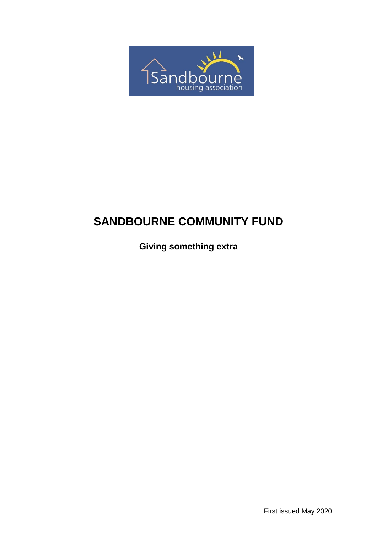

# **SANDBOURNE COMMUNITY FUND**

**Giving something extra**

First issued May 2020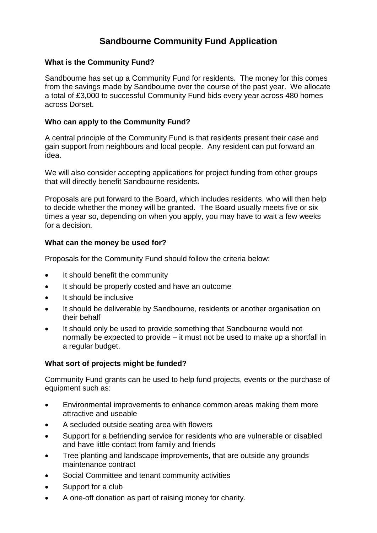# **Sandbourne Community Fund Application**

# **What is the Community Fund?**

Sandbourne has set up a Community Fund for residents. The money for this comes from the savings made by Sandbourne over the course of the past year. We allocate a total of £3,000 to successful Community Fund bids every year across 480 homes across Dorset.

### **Who can apply to the Community Fund?**

A central principle of the Community Fund is that residents present their case and gain support from neighbours and local people. Any resident can put forward an idea.

We will also consider accepting applications for project funding from other groups that will directly benefit Sandbourne residents.

Proposals are put forward to the Board, which includes residents, who will then help to decide whether the money will be granted. The Board usually meets five or six times a year so, depending on when you apply, you may have to wait a few weeks for a decision.

### **What can the money be used for?**

Proposals for the Community Fund should follow the criteria below:

- It should benefit the community
- It should be properly costed and have an outcome
- It should be inclusive
- It should be deliverable by Sandbourne, residents or another organisation on their behalf
- It should only be used to provide something that Sandbourne would not normally be expected to provide – it must not be used to make up a shortfall in a regular budget.

# **What sort of projects might be funded?**

Community Fund grants can be used to help fund projects, events or the purchase of equipment such as:

- Environmental improvements to enhance common areas making them more attractive and useable
- A secluded outside seating area with flowers
- Support for a befriending service for residents who are vulnerable or disabled and have little contact from family and friends
- Tree planting and landscape improvements, that are outside any grounds maintenance contract
- Social Committee and tenant community activities
- Support for a club
- A one-off donation as part of raising money for charity.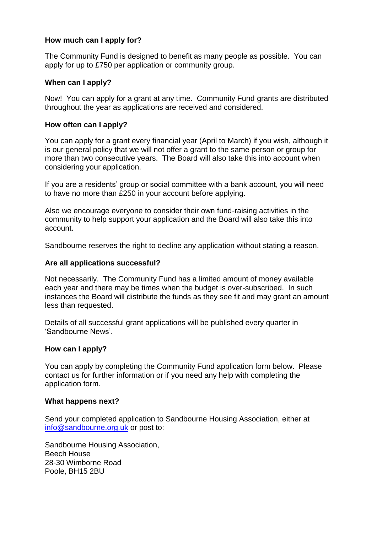## **How much can I apply for?**

The Community Fund is designed to benefit as many people as possible. You can apply for up to £750 per application or community group.

#### **When can I apply?**

Now! You can apply for a grant at any time. Community Fund grants are distributed throughout the year as applications are received and considered.

#### **How often can I apply?**

You can apply for a grant every financial year (April to March) if you wish, although it is our general policy that we will not offer a grant to the same person or group for more than two consecutive years. The Board will also take this into account when considering your application.

If you are a residents' group or social committee with a bank account, you will need to have no more than £250 in your account before applying.

Also we encourage everyone to consider their own fund-raising activities in the community to help support your application and the Board will also take this into account.

Sandbourne reserves the right to decline any application without stating a reason.

#### **Are all applications successful?**

Not necessarily. The Community Fund has a limited amount of money available each year and there may be times when the budget is over-subscribed. In such instances the Board will distribute the funds as they see fit and may grant an amount less than requested.

Details of all successful grant applications will be published every quarter in 'Sandbourne News'.

#### **How can I apply?**

You can apply by completing the Community Fund application form below. Please contact us for further information or if you need any help with completing the application form.

#### **What happens next?**

Send your completed application to Sandbourne Housing Association, either at [info@sandbourne.org.uk](mailto:info@sandbourne.org.uk) or post to:

Sandbourne Housing Association, Beech House 28-30 Wimborne Road Poole, BH15 2BU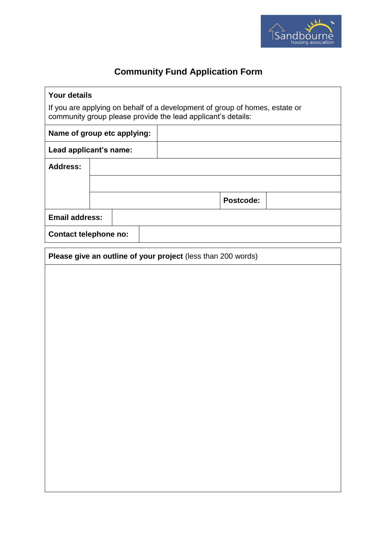

# **Community Fund Application Form**

| <b>Your details</b><br>If you are applying on behalf of a development of group of homes, estate or |  |                                                        |  |           |                                                              |  |
|----------------------------------------------------------------------------------------------------|--|--------------------------------------------------------|--|-----------|--------------------------------------------------------------|--|
| community group please provide the lead applicant's details:                                       |  |                                                        |  |           |                                                              |  |
| Name of group etc applying:                                                                        |  |                                                        |  |           |                                                              |  |
|                                                                                                    |  |                                                        |  |           |                                                              |  |
|                                                                                                    |  |                                                        |  |           |                                                              |  |
|                                                                                                    |  |                                                        |  |           |                                                              |  |
|                                                                                                    |  |                                                        |  | Postcode: |                                                              |  |
| <b>Email address:</b>                                                                              |  |                                                        |  |           |                                                              |  |
|                                                                                                    |  |                                                        |  |           |                                                              |  |
|                                                                                                    |  |                                                        |  |           |                                                              |  |
|                                                                                                    |  |                                                        |  |           |                                                              |  |
|                                                                                                    |  |                                                        |  |           |                                                              |  |
|                                                                                                    |  |                                                        |  |           |                                                              |  |
|                                                                                                    |  |                                                        |  |           |                                                              |  |
|                                                                                                    |  |                                                        |  |           |                                                              |  |
|                                                                                                    |  |                                                        |  |           |                                                              |  |
|                                                                                                    |  |                                                        |  |           |                                                              |  |
|                                                                                                    |  |                                                        |  |           |                                                              |  |
|                                                                                                    |  |                                                        |  |           |                                                              |  |
|                                                                                                    |  | Lead applicant's name:<br><b>Contact telephone no:</b> |  |           | Please give an outline of your project (less than 200 words) |  |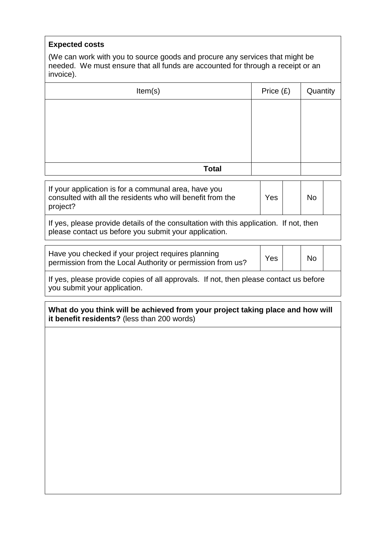## **Expected costs**

(We can work with you to source goods and procure any services that might be needed. We must ensure that all funds are accounted for through a receipt or an invoice).

| Item(s)      | Price (£) | Quantity |
|--------------|-----------|----------|
|              |           |          |
|              |           |          |
|              |           |          |
|              |           |          |
| <b>Total</b> |           |          |

| If your application is for a communal area, have you<br>consulted with all the residents who will benefit from the | Yes | No |  |
|--------------------------------------------------------------------------------------------------------------------|-----|----|--|
| project?                                                                                                           |     |    |  |

If yes, please provide details of the consultation with this application. If not, then please contact us before you submit your application.

| Have you checked if your project requires planning<br>permission from the Local Authority or permission from us? | Yes | <b>No</b> |  |
|------------------------------------------------------------------------------------------------------------------|-----|-----------|--|
|                                                                                                                  |     |           |  |

If yes, please provide copies of all approvals. If not, then please contact us before you submit your application.

**What do you think will be achieved from your project taking place and how will it benefit residents?** (less than 200 words)